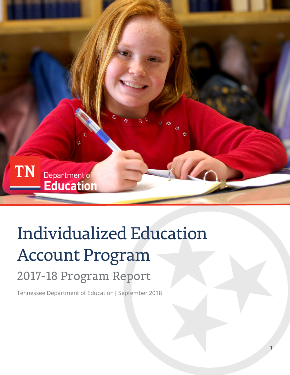

1

# Individualized Education Account Program 2017-18 Program Report

Tennessee Department of Education| September 2018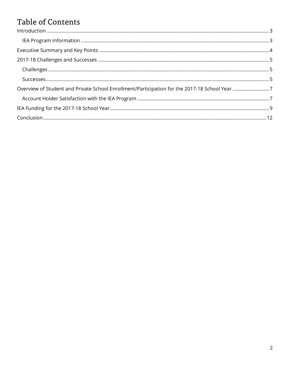### Table of Contents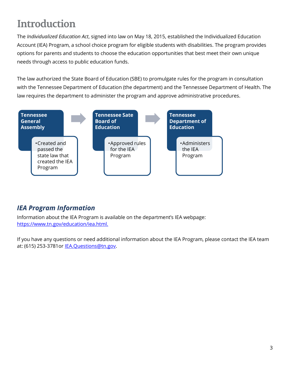# <span id="page-2-0"></span>**Introduction**

The *Individualized Education Act*, signed into law on May 18, 2015, established the Individualized Education Account (IEA) Program, a school choice program for eligible students with disabilities. The program provides options for parents and students to choose the education opportunities that best meet their own unique needs through access to public education funds.

The law authorized the State Board of Education (SBE) to promulgate rules for the program in consultation with the Tennessee Department of Education (the department) and the Tennessee Department of Health. The law requires the department to administer the program and approve administrative procedures.



### <span id="page-2-1"></span>*IEA Program Information*

Information about the IEA Program is available on the department's IEA webpage: [https://www.tn.gov/education/iea.html.](https://www.tn.gov/education/iea.html)

If you have any questions or need additional information about the IEA Program, please contact the IEA team at: (615) 253-3781or [IEA.Questions@tn.gov.](mailto:IEA.Questions@tn.gov)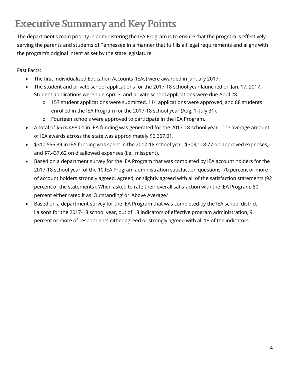# <span id="page-3-0"></span>**Executive Summary and Key Points**

The department's main priority in administering the IEA Program is to ensure that the program is effectively serving the parents and students of Tennessee in a manner that fulfills all legal requirements and aligns with the program's original intent as set by the state legislature.

Fast Facts:

- The first Individualized Education Accounts (IEAs) were awarded in January 2017.
- The student and private school applications for the 2017-18 school year launched on Jan. 17, 2017: Student applications were due April 3, and private school applications were due April 28.
	- o 157 student applications were submitted, 114 applications were approved, and 88 students enrolled in the IEA Program for the 2017-18 school year (Aug. 1–July 31).
	- o Fourteen schools were approved to participate in the IEA Program.
- A total of \$574,498.01 in IEA funding was generated for the 2017-18 school year. The average amount of IEA awards across the state was approximately \$6,667.01.
- \$310,556.39 in IEA funding was spent in the 2017-18 school year; \$303,118.77 on approved expenses, and \$7,437.62 on disallowed expenses (i.e., misspent).
- Based on a department survey for the IEA Program that was completed by IEA account holders for the 2017-18 school year, of the 10 IEA Program administration satisfaction questions, 70 percent or more of account holders strongly agreed, agreed, or slightly agreed with all of the satisfaction statements (92 percent of the statements). When asked to rate their overall satisfaction with the IEA Program, 80 percent either rated it as 'Outstanding' or 'Above Average.'
- Based on a department survey for the IEA Program that was completed by the IEA school district liaisons for the 2017-18 school year, out of 18 indicators of effective program administration, 91 percent or more of respondents either agreed or strongly agreed with all 18 of the indicators.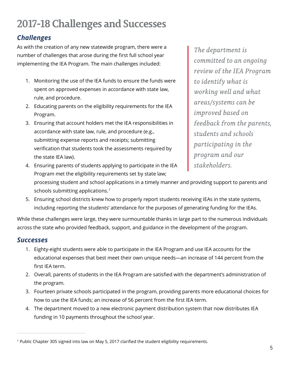# <span id="page-4-0"></span>**2017-18Challenges and Successes**

### <span id="page-4-1"></span>*Challenges*

As with the creation of any new statewide program, there were a number of challenges that arose during the first full school year implementing the IEA Program. The main challenges included:

- 1. Monitoring the use of the IEA funds to ensure the funds were spent on approved expenses in accordance with state law, rule, and procedure.
- 2. Educating parents on the eligibility requirements for the IEA Program.
- 3. Ensuring that account holders met the IEA responsibilities in accordance with state law, rule, and procedure (e.g., submitting expense reports and receipts; submitting verification that students took the assessments required by the state IEA law).

*The department is committed to an ongoing review of the IEA Program to identify what is working well and what areas/systems can be improved based on feedback from the parents, students and schools participating in the program and our* 

- 4. Ensuring parents of students applying to participate in the IEA Program met the eligibility requirements set by state law; processing student and school applications in a timely manner and providing support to parents and schools submitting applications.<sup>[1](#page-4-3)</sup> *stakeholders.*
- 5. Ensuring school districts knew how to properly report students receiving IEAs in the state systems, including reporting the students' attendance for the purposes of generating funding for the IEAs.

While these challenges were large, they were surmountable thanks in large part to the numerous individuals across the state who provided feedback, support, and guidance in the development of the program.

#### <span id="page-4-2"></span>*Successes*

 $\overline{a}$ 

- 1. Eighty-eight students were able to participate in the IEA Program and use IEA accounts for the educational expenses that best meet their own unique needs—an increase of 144 percent from the first IEA term.
- 2. Overall, parents of students in the IEA Program are satisfied with the department's administration of the program.
- 3. Fourteen private schools participated in the program, providing parents more educational choices for how to use the IEA funds; an increase of 56 percent from the first IEA term.
- 4. The department moved to a new electronic payment distribution system that now distributes IEA funding in 10 payments throughout the school year.

<span id="page-4-3"></span><sup>1</sup> Public Chapter 305 signed into law on May 5, 2017 clarified the student eligibility requirements.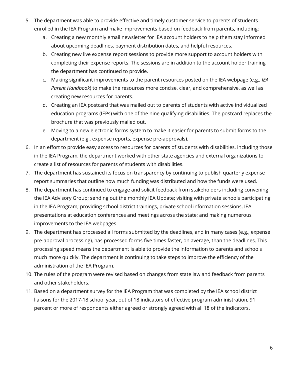- 5. The department was able to provide effective and timely customer service to parents of students enrolled in the IEA Program and make improvements based on feedback from parents, including:
	- a. Creating a new monthly email newsletter for IEA account holders to help them stay informed about upcoming deadlines, payment distribution dates, and helpful resources.
	- b. Creating new live expense report sessions to provide more support to account holders with completing their expense reports. The sessions are in addition to the account holder training the department has continued to provide.
	- c. Making significant improvements to the parent resources posted on the IEA webpage (e.g., *IEA Parent Handbook*) to make the resources more concise, clear, and comprehensive, as well as creating new resources for parents.
	- d. Creating an IEA postcard that was mailed out to parents of students with active individualized education programs (IEPs) with one of the nine qualifying disabilities. The postcard replaces the brochure that was previously mailed out.
	- e. Moving to a new electronic forms system to make it easier for parents to submit forms to the department (e.g., expense reports, expense pre-approvals).
- 6. In an effort to provide easy access to resources for parents of students with disabilities, including those in the IEA Program, the department worked with other state agencies and external organizations to create a list of resources for parents of students with disabilities.
- 7. The department has sustained its focus on transparency by continuing to publish quarterly expense report summaries that outline how much funding was distributed and how the funds were used.
- 8. The department has continued to engage and solicit feedback from stakeholders including convening the IEA Advisory Group; sending out the monthly IEA Update; visiting with private schools participating in the IEA Program; providing school district trainings, private school information sessions, IEA presentations at education conferences and meetings across the state; and making numerous improvements to the IEA webpages.
- 9. The department has processed all forms submitted by the deadlines, and in many cases (e.g., expense pre-approval processing), has processed forms five times faster, on average, than the deadlines. This processing speed means the department is able to provide the information to parents and schools much more quickly. The department is continuing to take steps to improve the efficiency of the administration of the IEA Program.
- 10. The rules of the program were revised based on changes from state law and feedback from parents and other stakeholders.
- 11. Based on a department survey for the IEA Program that was completed by the IEA school district liaisons for the 2017-18 school year, out of 18 indicators of effective program administration, 91 percent or more of respondents either agreed or strongly agreed with all 18 of the indicators.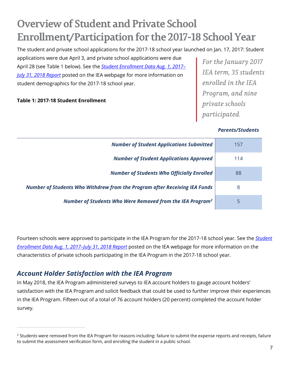# <span id="page-6-0"></span>**Overview of Student and Private School Enrollment/Participation for the 2017-18 School Year**

The student and private school applications for the 2017-18 school year launched on Jan. 17, 2017: Student

applications were due April 3, and private school applications were due April 28 (see Table 1 below). See the *[Student Enrollment Data Aug. 1, 2017–](https://www.tn.gov/education/iea/tdoe2iea-iea-reports.html) [July 31, 2018](https://www.tn.gov/education/iea/tdoe2iea-iea-reports.html) Report* posted on the IEA webpage for more information on student demographics for the 2017-18 school year.

#### **Table 1: 2017-18 Student Enrollment**

*For the January 2017 IEA term, 35 students enrolled in the IEA Program, and nine private schools participated.*

#### *Parents/Students*

| <b>Number of Student Applications Submitted</b>                            | 157 |
|----------------------------------------------------------------------------|-----|
| <b>Number of Student Applications Approved</b>                             | 114 |
| <b>Number of Students Who Officially Enrolled</b>                          | 88  |
| Number of Students Who Withdrew from the Program after Receiving IEA Funds | 8   |
| Number of Students Who Were Removed from the IEA Program <sup>2</sup>      |     |

Fourteen schools were approved to participate in the IEA Program for the 2017-18 school year. See the *[Student](https://www.tn.gov/education/iea/tdoe2iea-iea-reports.html)  [Enrollment Data Aug. 1, 2017–July 31, 2018](https://www.tn.gov/education/iea/tdoe2iea-iea-reports.html) Report* posted on the IEA webpage for more information on the characteristics of private schools participating in the IEA Program in the 2017-18 school year.

#### <span id="page-6-1"></span>*Account Holder Satisfaction with the IEA Program*

 $\overline{a}$ 

In May 2018, the IEA Program administered surveys to IEA account holders to gauge account holders' satisfaction with the IEA Program and solicit feedback that could be used to further improve their experiences in the IEA Program. Fifteen out of a total of 76 account holders (20 percent) completed the account holder survey.

<span id="page-6-2"></span><sup>&</sup>lt;sup>2</sup> Students were removed from the IEA Program for reasons including: failure to submit the expense reports and receipts, failure to submit the assessment verification form, and enrolling the student in a public school.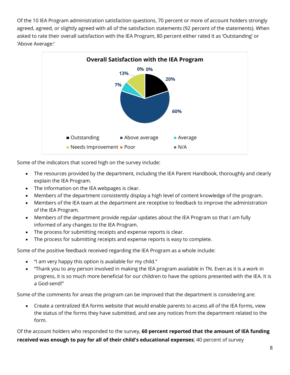Of the 10 IEA Program administration satisfaction questions, 70 percent or more of account holders strongly agreed, agreed, or slightly agreed with all of the satisfaction statements (92 percent of the statements). When asked to rate their overall satisfaction with the IEA Program, 80 percent either rated it as 'Outstanding' or 'Above Average:'



Some of the indicators that scored high on the survey include:

- The resources provided by the department, including the IEA Parent Handbook, thoroughly and clearly explain the IEA Program.
- The information on the IEA webpages is clear.
- Members of the department consistently display a high level of content knowledge of the program.
- Members of the IEA team at the department are receptive to feedback to improve the administration of the IEA Program.
- Members of the department provide regular updates about the IEA Program so that I am fully informed of any changes to the IEA Program.
- The process for submitting receipts and expense reports is clear.
- The process for submitting receipts and expense reports is easy to complete.

Some of the positive feedback received regarding the IEA Program as a whole include:

- "I am very happy this option is available for my child."
- "Thank you to any person involved in making the IEA program available in TN. Even as it is a work in progress, it is so much more beneficial for our children to have the options presented with the IEA. It is a God-send!"

Some of the comments for areas the program can be improved that the department is considering are:

• Create a centralized IEA forms website that would enable parents to access all of the IEA forms, view the status of the forms they have submitted, and see any notices from the department related to the form.

Of the account holders who responded to the survey, **60 percent reported that the amount of IEA funding received was enough to pay for all of their child's educational expenses**; 40 percent of survey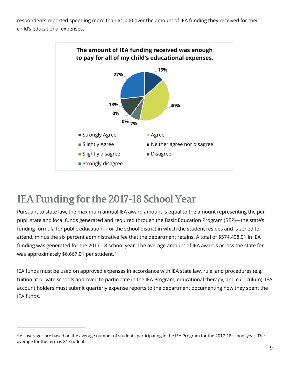respondents reported spending more than \$1,000 over the amount of IEA funding they received for their child's educational expenses.



### <span id="page-8-0"></span>**IEA Funding for the 2017-18 School Year**

 $\overline{a}$ 

Pursuant to state law, the maximum annual IEA award amount is equal to the amount representing the perpupil state and local funds generated and required through the Basic Education Program (BEP)—the state's funding formula for public education—for the school district in which the student resides and is zoned to attend, minus the six percent administrative fee that the department retains. A total of \$574,498.01 in IEA funding was generated for the 2017-18 school year. The average amount of IEA awards across the state for was approximately \$6,667.01 per student. $^3$  $^3$ 

IEA funds must be used on approved expenses in accordance with IEA state law, rule, and procedures (e.g., tuition at private schools approved to participate in the IEA Program, educational therapy, and curriculum). IEA account holders must submit quarterly expense reports to the department documenting how they spent the IEA funds.

<span id="page-8-1"></span><sup>&</sup>lt;sup>3</sup> All averages are based on the average number of students participating in the IEA Program for the 2017-18 school year. The average for the term is 81 students.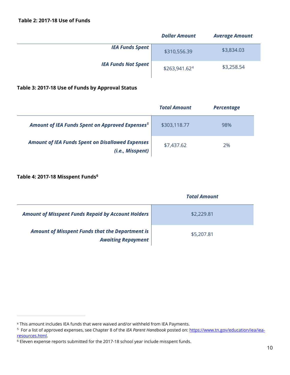|                            | <b>Dollar Amount</b>      | <b>Average Amount</b> |
|----------------------------|---------------------------|-----------------------|
| <b>IEA Funds Spent</b>     | \$310,556.39              | \$3,834.03            |
| <b>IEA Funds Not Spent</b> | \$263,941.62 <sup>4</sup> | \$3,258.54            |

#### **Table 3: 2017-18 Use of Funds by Approval Status**

|                                                                             | <b>Total Amount</b> | <b>Percentage</b> |
|-----------------------------------------------------------------------------|---------------------|-------------------|
| Amount of IEA Funds Spent on Approved Expenses <sup>5</sup>                 | \$303,118.77        | 98%               |
| <b>Amount of IEA Funds Spent on Disallowed Expenses</b><br>(i.e., Misspent) | \$7,437.62          | 2%                |

#### **Table 4: 2017-18 Misspent Funds[6](#page-9-2)**

 $\overline{a}$ 

|                                                                                     | <b>Total Amount</b> |  |
|-------------------------------------------------------------------------------------|---------------------|--|
| <b>Amount of Misspent Funds Repaid by Account Holders</b>                           | \$2,229.81          |  |
| <b>Amount of Misspent Funds that the Department is</b><br><b>Awaiting Repayment</b> | \$5,207.81          |  |

<span id="page-9-0"></span><sup>4</sup> This amount includes IEA funds that were waived and/or withheld from IEA Payments.

<span id="page-9-1"></span><sup>5</sup> For a list of approved expenses, see Chapter 8 of the *IEA Parent Handbook* posted on: [https://www.tn.gov/education/iea/iea](https://www.tn.gov/education/iea/iea-resources.html)[resources.html.](https://www.tn.gov/education/iea/iea-resources.html)

<span id="page-9-2"></span><sup>6</sup> Eleven expense reports submitted for the 2017-18 school year include misspent funds.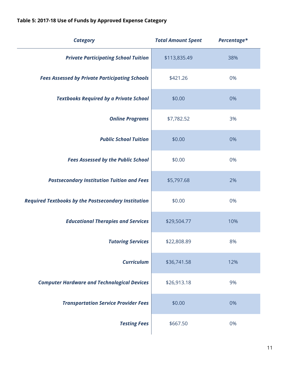| <b>Category</b>                                            | <b>Total Amount Spent</b> | Percentage* |
|------------------------------------------------------------|---------------------------|-------------|
| <b>Private Participating School Tuition</b>                | \$113,835.49              | 38%         |
| <b>Fees Assessed by Private Participating Schools</b>      | \$421.26                  | 0%          |
| <b>Textbooks Required by a Private School</b>              | \$0.00                    | 0%          |
| <b>Online Programs</b>                                     | \$7,782.52                | 3%          |
| <b>Public School Tuition</b>                               | \$0.00                    | 0%          |
| <b>Fees Assessed by the Public School</b>                  | \$0.00                    | 0%          |
| <b>Postsecondary Institution Tuition and Fees</b>          | \$5,797.68                | 2%          |
| <b>Required Textbooks by the Postsecondary Institution</b> | \$0.00                    | 0%          |
| <b>Educational Therapies and Services</b>                  | \$29,504.77               | 10%         |
| <b>Tutoring Services</b>                                   | \$22,808.89               | 8%          |
| <b>Curriculum</b>                                          | \$36,741.58               | 12%         |
| <b>Computer Hardware and Technological Devices</b>         | \$26,913.18               | 9%          |
| <b>Transportation Service Provider Fees</b>                | \$0.00                    | 0%          |
| <b>Testing Fees</b>                                        | \$667.50                  | 0%          |